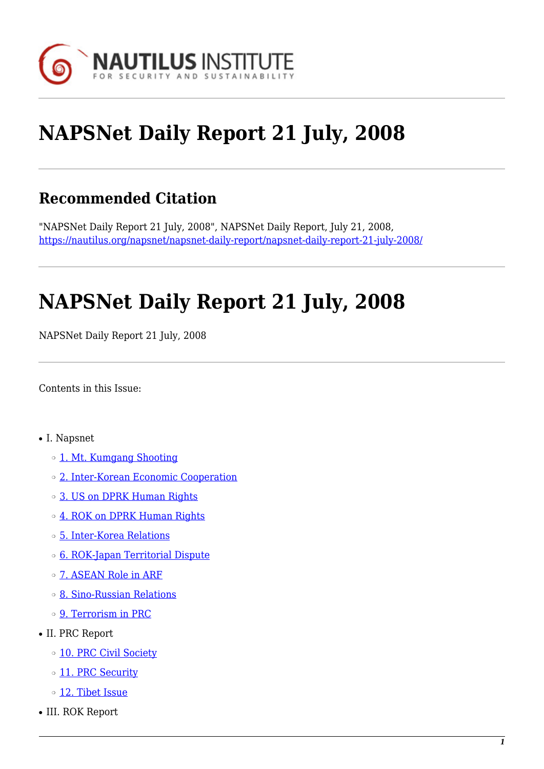

# **NAPSNet Daily Report 21 July, 2008**

# **Recommended Citation**

"NAPSNet Daily Report 21 July, 2008", NAPSNet Daily Report, July 21, 2008, <https://nautilus.org/napsnet/napsnet-daily-report/napsnet-daily-report-21-july-2008/>

# **NAPSNet Daily Report 21 July, 2008**

NAPSNet Daily Report 21 July, 2008

<span id="page-0-0"></span>Contents in this Issue:

- I. Napsnet
	- ❍ [1. Mt. Kumgang Shooting](#page-1-0)
	- ❍ [2. Inter-Korean Economic Cooperation](#page-1-1)
	- ❍ [3. US on DPRK Human Rights](#page-1-2)
	- ❍ [4. ROK on DPRK Human Rights](#page-2-0)
	- ❍ [5. Inter-Korea Relations](#page-2-1)
	- ❍ [6. ROK-Japan Territorial Dispute](#page-2-2)
	- ❍ [7. ASEAN Role in ARF](#page-3-0)
	- ❍ [8. Sino-Russian Relations](#page-3-1)
	- ❍ [9. Terrorism in PRC](#page-3-2)
- II. PRC Report
	- o [10. PRC Civil Society](#page-3-3)
	- o [11. PRC Security](#page-4-0)
	- o [12. Tibet Issue](#page-4-1)
- III. ROK Report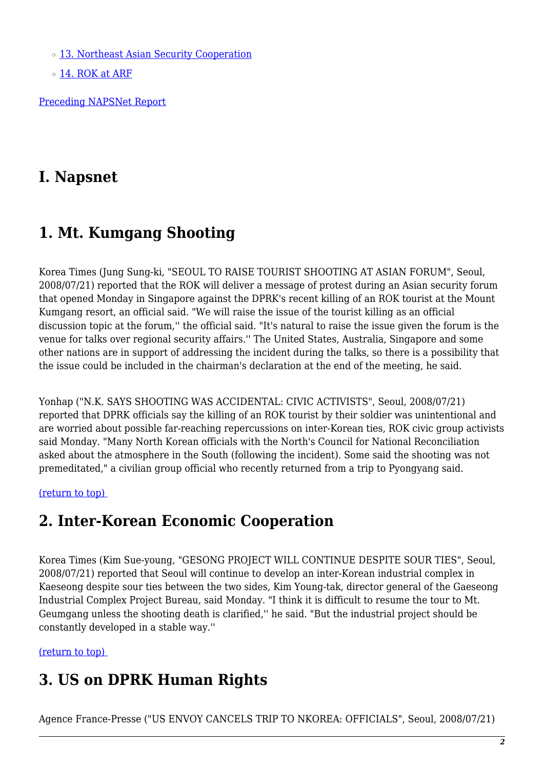o [13. Northeast Asian Security Cooperation](#page-4-2)

o [14. ROK at ARF](#page-5-0)

[Preceding NAPSNet Report](https://nautilus.org/mailing-lists/napsnet/dr/2008-2/napsnet-daily-report-18-july-2008/)

### **I. Napsnet**

### <span id="page-1-0"></span>**1. Mt. Kumgang Shooting**

Korea Times (Jung Sung-ki, "SEOUL TO RAISE TOURIST SHOOTING AT ASIAN FORUM", Seoul, 2008/07/21) reported that the ROK will deliver a message of protest during an Asian security forum that opened Monday in Singapore against the DPRK's recent killing of an ROK tourist at the Mount Kumgang resort, an official said. "We will raise the issue of the tourist killing as an official discussion topic at the forum,'' the official said. "It's natural to raise the issue given the forum is the venue for talks over regional security affairs.'' The United States, Australia, Singapore and some other nations are in support of addressing the incident during the talks, so there is a possibility that the issue could be included in the chairman's declaration at the end of the meeting, he said.

Yonhap ("N.K. SAYS SHOOTING WAS ACCIDENTAL: CIVIC ACTIVISTS", Seoul, 2008/07/21) reported that DPRK officials say the killing of an ROK tourist by their soldier was unintentional and are worried about possible far-reaching repercussions on inter-Korean ties, ROK civic group activists said Monday. "Many North Korean officials with the North's Council for National Reconciliation asked about the atmosphere in the South (following the incident). Some said the shooting was not premeditated," a civilian group official who recently returned from a trip to Pyongyang said.

<span id="page-1-1"></span>[\(return to top\)](#page-0-0) 

#### **2. Inter-Korean Economic Cooperation**

Korea Times (Kim Sue-young, "GESONG PROJECT WILL CONTINUE DESPITE SOUR TIES", Seoul, 2008/07/21) reported that Seoul will continue to develop an inter-Korean industrial complex in Kaeseong despite sour ties between the two sides, Kim Young-tak, director general of the Gaeseong Industrial Complex Project Bureau, said Monday. "I think it is difficult to resume the tour to Mt. Geumgang unless the shooting death is clarified,'' he said. "But the industrial project should be constantly developed in a stable way.''

<span id="page-1-2"></span>[\(return to top\)](#page-0-0) 

### **3. US on DPRK Human Rights**

Agence France-Presse ("US ENVOY CANCELS TRIP TO NKOREA: OFFICIALS", Seoul, 2008/07/21)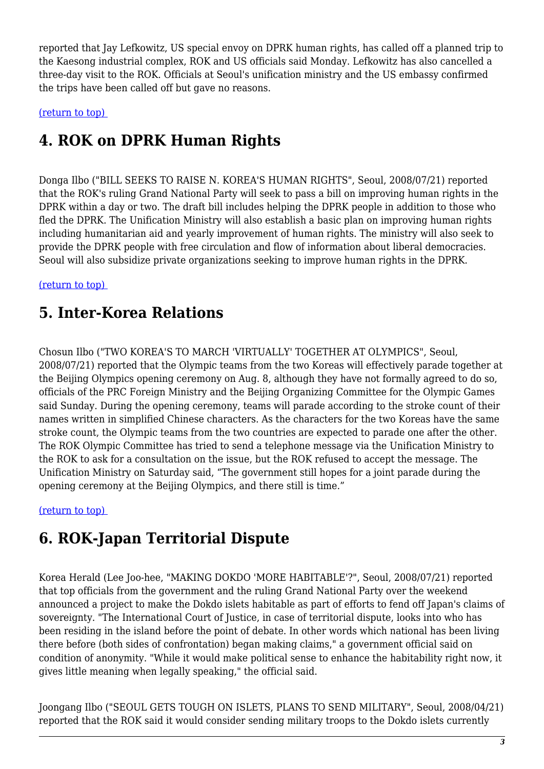reported that Jay Lefkowitz, US special envoy on DPRK human rights, has called off a planned trip to the Kaesong industrial complex, ROK and US officials said Monday. Lefkowitz has also cancelled a three-day visit to the ROK. Officials at Seoul's unification ministry and the US embassy confirmed the trips have been called off but gave no reasons.

<span id="page-2-0"></span>[\(return to top\)](#page-0-0) 

# **4. ROK on DPRK Human Rights**

Donga Ilbo ("BILL SEEKS TO RAISE N. KOREA'S HUMAN RIGHTS", Seoul, 2008/07/21) reported that the ROK's ruling Grand National Party will seek to pass a bill on improving human rights in the DPRK within a day or two. The draft bill includes helping the DPRK people in addition to those who fled the DPRK. The Unification Ministry will also establish a basic plan on improving human rights including humanitarian aid and yearly improvement of human rights. The ministry will also seek to provide the DPRK people with free circulation and flow of information about liberal democracies. Seoul will also subsidize private organizations seeking to improve human rights in the DPRK.

#### <span id="page-2-1"></span>[\(return to top\)](#page-0-0)

# **5. Inter-Korea Relations**

Chosun Ilbo ("TWO KOREA'S TO MARCH 'VIRTUALLY' TOGETHER AT OLYMPICS", Seoul, 2008/07/21) reported that the Olympic teams from the two Koreas will effectively parade together at the Beijing Olympics opening ceremony on Aug. 8, although they have not formally agreed to do so, officials of the PRC Foreign Ministry and the Beijing Organizing Committee for the Olympic Games said Sunday. During the opening ceremony, teams will parade according to the stroke count of their names written in simplified Chinese characters. As the characters for the two Koreas have the same stroke count, the Olympic teams from the two countries are expected to parade one after the other. The ROK Olympic Committee has tried to send a telephone message via the Unification Ministry to the ROK to ask for a consultation on the issue, but the ROK refused to accept the message. The Unification Ministry on Saturday said, "The government still hopes for a joint parade during the opening ceremony at the Beijing Olympics, and there still is time."

<span id="page-2-2"></span>[\(return to top\)](#page-0-0) 

# **6. ROK-Japan Territorial Dispute**

Korea Herald (Lee Joo-hee, "MAKING DOKDO 'MORE HABITABLE'?", Seoul, 2008/07/21) reported that top officials from the government and the ruling Grand National Party over the weekend announced a project to make the Dokdo islets habitable as part of efforts to fend off Japan's claims of sovereignty. "The International Court of Justice, in case of territorial dispute, looks into who has been residing in the island before the point of debate. In other words which national has been living there before (both sides of confrontation) began making claims," a government official said on condition of anonymity. "While it would make political sense to enhance the habitability right now, it gives little meaning when legally speaking," the official said.

Joongang Ilbo ("SEOUL GETS TOUGH ON ISLETS, PLANS TO SEND MILITARY", Seoul, 2008/04/21) reported that the ROK said it would consider sending military troops to the Dokdo islets currently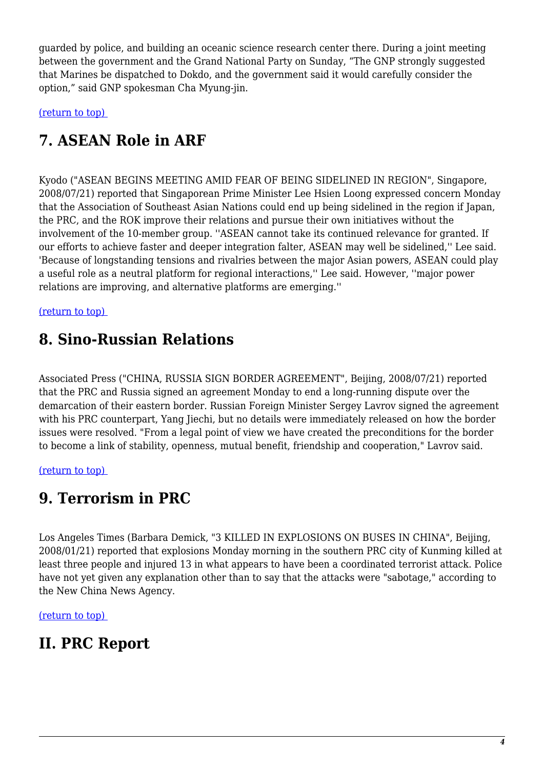guarded by police, and building an oceanic science research center there. During a joint meeting between the government and the Grand National Party on Sunday, "The GNP strongly suggested that Marines be dispatched to Dokdo, and the government said it would carefully consider the option," said GNP spokesman Cha Myung-jin.

<span id="page-3-0"></span>[\(return to top\)](#page-0-0) 

# **7. ASEAN Role in ARF**

Kyodo ("ASEAN BEGINS MEETING AMID FEAR OF BEING SIDELINED IN REGION", Singapore, 2008/07/21) reported that Singaporean Prime Minister Lee Hsien Loong expressed concern Monday that the Association of Southeast Asian Nations could end up being sidelined in the region if Japan, the PRC, and the ROK improve their relations and pursue their own initiatives without the involvement of the 10-member group. ''ASEAN cannot take its continued relevance for granted. If our efforts to achieve faster and deeper integration falter, ASEAN may well be sidelined,'' Lee said. 'Because of longstanding tensions and rivalries between the major Asian powers, ASEAN could play a useful role as a neutral platform for regional interactions,'' Lee said. However, ''major power relations are improving, and alternative platforms are emerging.''

#### <span id="page-3-1"></span>[\(return to top\)](#page-0-0)

### **8. Sino-Russian Relations**

Associated Press ("CHINA, RUSSIA SIGN BORDER AGREEMENT", Beijing, 2008/07/21) reported that the PRC and Russia signed an agreement Monday to end a long-running dispute over the demarcation of their eastern border. Russian Foreign Minister Sergey Lavrov signed the agreement with his PRC counterpart, Yang Jiechi, but no details were immediately released on how the border issues were resolved. "From a legal point of view we have created the preconditions for the border to become a link of stability, openness, mutual benefit, friendship and cooperation," Lavrov said.

<span id="page-3-2"></span>[\(return to top\)](#page-0-0) 

### **9. Terrorism in PRC**

Los Angeles Times (Barbara Demick, "3 KILLED IN EXPLOSIONS ON BUSES IN CHINA", Beijing, 2008/01/21) reported that explosions Monday morning in the southern PRC city of Kunming killed at least three people and injured 13 in what appears to have been a coordinated terrorist attack. Police have not yet given any explanation other than to say that the attacks were "sabotage," according to the New China News Agency.

[\(return to top\)](#page-0-0) 

### <span id="page-3-3"></span>**II. PRC Report**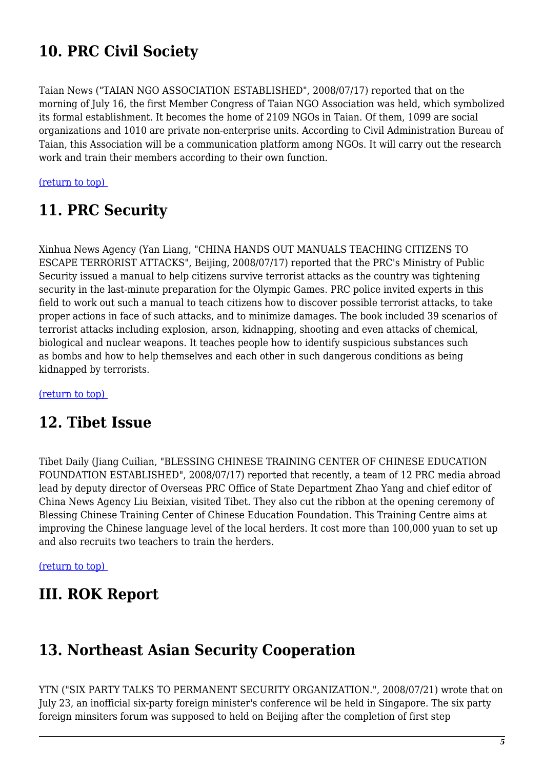# **10. PRC Civil Society**

Taian News ("TAIAN NGO ASSOCIATION ESTABLISHED", 2008/07/17) reported that on the morning of July 16, the first Member Congress of Taian NGO Association was held, which symbolized its formal establishment. It becomes the home of 2109 NGOs in Taian. Of them, 1099 are social organizations and 1010 are private non-enterprise units. According to Civil Administration Bureau of Taian, this Association will be a communication platform among NGOs. It will carry out the research work and train their members according to their own function.

#### <span id="page-4-0"></span>[\(return to top\)](#page-0-0)

#### **11. PRC Security**

Xinhua News Agency (Yan Liang, "CHINA HANDS OUT MANUALS TEACHING CITIZENS TO ESCAPE TERRORIST ATTACKS", Beijing, 2008/07/17) reported that the PRC's Ministry of Public Security issued a manual to help citizens survive terrorist attacks as the country was tightening security in the last-minute preparation for the Olympic Games. PRC police invited experts in this field to work out such a manual to teach citizens how to discover possible terrorist attacks, to take proper actions in face of such attacks, and to minimize damages. The book included 39 scenarios of terrorist attacks including explosion, arson, kidnapping, shooting and even attacks of chemical, biological and nuclear weapons. It teaches people how to identify suspicious substances such as bombs and how to help themselves and each other in such dangerous conditions as being kidnapped by terrorists.

<span id="page-4-1"></span>[\(return to top\)](#page-0-0) 

### **12. Tibet Issue**

Tibet Daily (Jiang Cuilian, "BLESSING CHINESE TRAINING CENTER OF CHINESE EDUCATION FOUNDATION ESTABLISHED", 2008/07/17) reported that recently, a team of 12 PRC media abroad lead by deputy director of Overseas PRC Office of State Department Zhao Yang and chief editor of China News Agency Liu Beixian, visited Tibet. They also cut the ribbon at the opening ceremony of Blessing Chinese Training Center of Chinese Education Foundation. This Training Centre aims at improving the Chinese language level of the local herders. It cost more than 100,000 yuan to set up and also recruits two teachers to train the herders.

[\(return to top\)](#page-0-0) 

#### <span id="page-4-2"></span>**III. ROK Report**

#### **13. Northeast Asian Security Cooperation**

YTN ("SIX PARTY TALKS TO PERMANENT SECURITY ORGANIZATION.", 2008/07/21) wrote that on July 23, an inofficial six-party foreign minister's conference wil be held in Singapore. The six party foreign minsiters forum was supposed to held on Beijing after the completion of first step